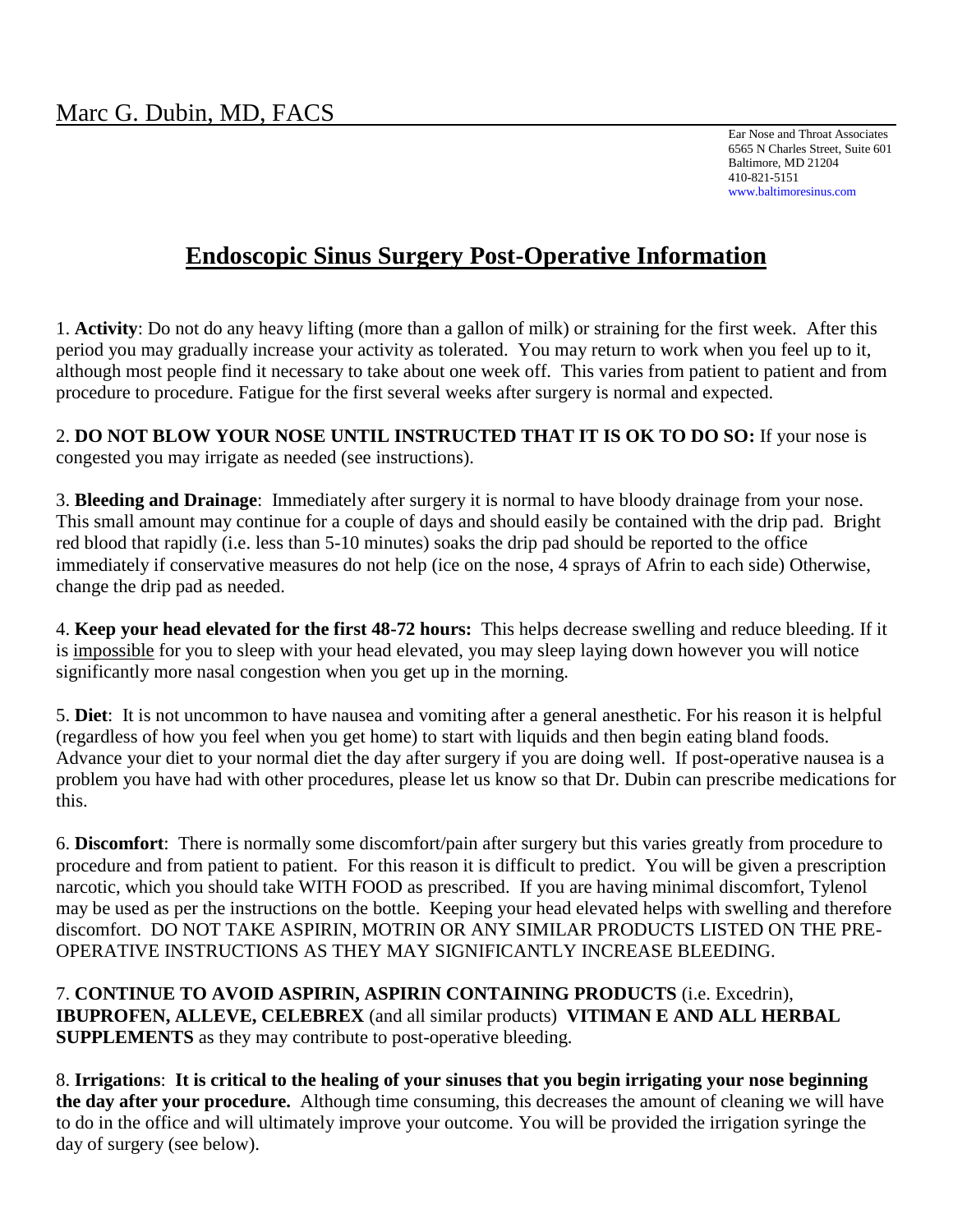Ear Nose and Throat Associates 6565 N Charles Street, Suite 601 Baltimore, MD 21204 410-821-5151 www.baltimoresinus.com

# **Endoscopic Sinus Surgery Post-Operative Information**

1. **Activity**: Do not do any heavy lifting (more than a gallon of milk) or straining for the first week. After this period you may gradually increase your activity as tolerated. You may return to work when you feel up to it, although most people find it necessary to take about one week off. This varies from patient to patient and from procedure to procedure. Fatigue for the first several weeks after surgery is normal and expected.

2. **DO NOT BLOW YOUR NOSE UNTIL INSTRUCTED THAT IT IS OK TO DO SO:** If your nose is congested you may irrigate as needed (see instructions).

3. **Bleeding and Drainage**: Immediately after surgery it is normal to have bloody drainage from your nose. This small amount may continue for a couple of days and should easily be contained with the drip pad. Bright red blood that rapidly (i.e. less than 5-10 minutes) soaks the drip pad should be reported to the office immediately if conservative measures do not help (ice on the nose, 4 sprays of Afrin to each side) Otherwise, change the drip pad as needed.

4. **Keep your head elevated for the first 48-72 hours:** This helps decrease swelling and reduce bleeding. If it is impossible for you to sleep with your head elevated, you may sleep laying down however you will notice significantly more nasal congestion when you get up in the morning.

5. **Diet**: It is not uncommon to have nausea and vomiting after a general anesthetic. For his reason it is helpful (regardless of how you feel when you get home) to start with liquids and then begin eating bland foods. Advance your diet to your normal diet the day after surgery if you are doing well. If post-operative nausea is a problem you have had with other procedures, please let us know so that Dr. Dubin can prescribe medications for this.

6. **Discomfort**: There is normally some discomfort/pain after surgery but this varies greatly from procedure to procedure and from patient to patient. For this reason it is difficult to predict. You will be given a prescription narcotic, which you should take WITH FOOD as prescribed. If you are having minimal discomfort, Tylenol may be used as per the instructions on the bottle. Keeping your head elevated helps with swelling and therefore discomfort. DO NOT TAKE ASPIRIN, MOTRIN OR ANY SIMILAR PRODUCTS LISTED ON THE PRE-OPERATIVE INSTRUCTIONS AS THEY MAY SIGNIFICANTLY INCREASE BLEEDING.

7. **CONTINUE TO AVOID ASPIRIN, ASPIRIN CONTAINING PRODUCTS** (i.e. Excedrin), **IBUPROFEN, ALLEVE, CELEBREX** (and all similar products) **VITIMAN E AND ALL HERBAL SUPPLEMENTS** as they may contribute to post-operative bleeding.

8. **Irrigations**: **It is critical to the healing of your sinuses that you begin irrigating your nose beginning the day after your procedure.** Although time consuming, this decreases the amount of cleaning we will have to do in the office and will ultimately improve your outcome. You will be provided the irrigation syringe the day of surgery (see below).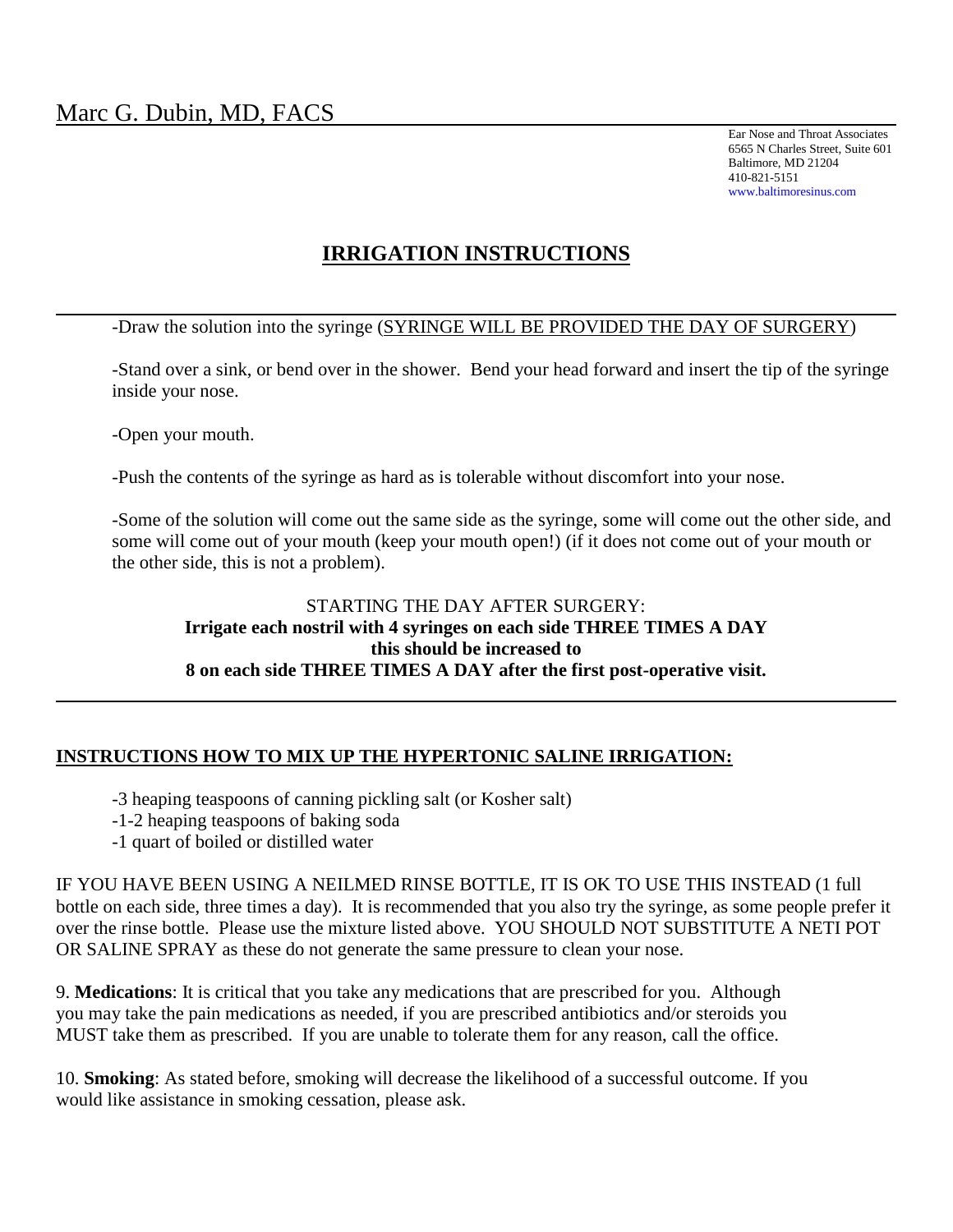Ear Nose and Throat Associates 6565 N Charles Street, Suite 601 Baltimore, MD 21204 410-821-5151 www.baltimoresinus.com

## **IRRIGATION INSTRUCTIONS**

-Draw the solution into the syringe (SYRINGE WILL BE PROVIDED THE DAY OF SURGERY)

-Stand over a sink, or bend over in the shower. Bend your head forward and insert the tip of the syringe inside your nose.

-Open your mouth.

-Push the contents of the syringe as hard as is tolerable without discomfort into your nose.

-Some of the solution will come out the same side as the syringe, some will come out the other side, and some will come out of your mouth (keep your mouth open!) (if it does not come out of your mouth or the other side, this is not a problem).

#### STARTING THE DAY AFTER SURGERY: **Irrigate each nostril with 4 syringes on each side THREE TIMES A DAY this should be increased to 8 on each side THREE TIMES A DAY after the first post-operative visit.**

#### **INSTRUCTIONS HOW TO MIX UP THE HYPERTONIC SALINE IRRIGATION:**

- -3 heaping teaspoons of canning pickling salt (or Kosher salt)
- -1-2 heaping teaspoons of baking soda
- -1 quart of boiled or distilled water

IF YOU HAVE BEEN USING A NEILMED RINSE BOTTLE, IT IS OK TO USE THIS INSTEAD (1 full bottle on each side, three times a day). It is recommended that you also try the syringe, as some people prefer it over the rinse bottle. Please use the mixture listed above. YOU SHOULD NOT SUBSTITUTE A NETI POT OR SALINE SPRAY as these do not generate the same pressure to clean your nose.

9. **Medications**: It is critical that you take any medications that are prescribed for you. Although you may take the pain medications as needed, if you are prescribed antibiotics and/or steroids you MUST take them as prescribed. If you are unable to tolerate them for any reason, call the office.

10. **Smoking**: As stated before, smoking will decrease the likelihood of a successful outcome. If you would like assistance in smoking cessation, please ask.